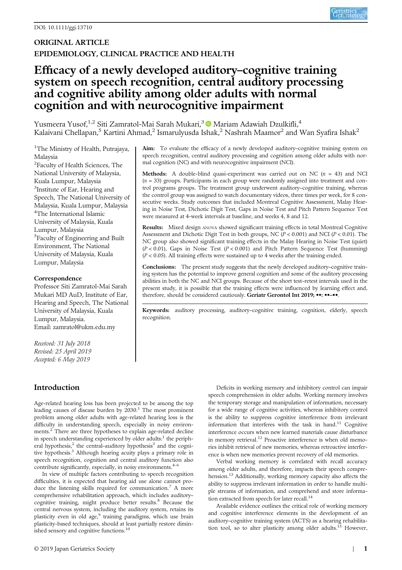## ORIGINAL ARTICLE EPIDEMIOLOGY, CLINICAL PRACTICE AND HEALTH

# Efficacy of a newly developed auditory–cognitive training system on speech recognition, central auditory processing and cognitive ability among older adults with normal cognition and with neurocognitive impairment

Yusmeera Yusof,<sup>1,2</sup> Siti Zamratol-Mai Sarah Mukari,<sup>3</sup> Mariam Adawiah Dzulkifli,<sup>4</sup> Kalaivani Chellapan,<sup>5</sup> Kartini Ahmad,<sup>2</sup> Ismarulyusda Ishak,<sup>2</sup> Nashrah Maamor<sup>2</sup> and Wan Syafira Ishak<sup>2</sup>

<sup>1</sup>The Ministry of Health, Putrajaya, Malaysia

<sup>2</sup>Faculty of Health Sciences, The National University of Malaysia, Kuala Lumpur, Malaysia <sup>3</sup>Institute of Ear, Hearing and Speech, The National University of Malaysia, Kuala Lumpur, Malaysia 4 The International Islamic University of Malaysia, Kuala Lumpur, Malaysia 5 Faculty of Engineering and Built Environment, The National University of Malaysia, Kuala Lumpur, Malaysia

## Correspondence

Professor Siti Zamratol-Mai Sarah Mukari MD AuD, Institute of Ear, Hearing and Speech, The National University of Malaysia, Kuala Lumpur, Malaysia. Email: [zamratol@ukm.edu.my](mailto:zamratol@ukm.edu.my)

Received: 31 July 2018 Revised: 25 April 2019 Accepted: 6 May 2019

## Introduction

Age-related hearing loss has been projected to be among the top leading causes of disease burden by 2030.<sup>1</sup> The most prominent problem among older adults with age-related hearing loss is the difficulty in understanding speech, especially in noisy environments.<sup>2</sup> There are three hypotheses to explain age-related decline in speech understanding experienced by older adults: $<sup>1</sup>$  the periph-</sup> eral hypothesis,<sup>2</sup> the central-auditory hypothesis<sup>3</sup> and the cognitive hypothesis.<sup>3</sup> Although hearing acuity plays a primary role in speech recognition, cognition and central auditory function also contribute significantly, especially, in noisy environments.<sup>4-6</sup>

In view of multiple factors contributing to speech recognition difficulties, it is expected that hearing aid use alone cannot produce the listening skills required for communication.<sup>7</sup> A more comprehensive rehabilitation approach, which includes auditory– cognitive training, might produce better results.<sup>8</sup> Because the central nervous system, including the auditory system, retains its plasticity even in old age,<sup>9</sup> training paradigms, which use brain plasticity-based techniques, should at least partially restore diminished sensory and cognitive functions.<sup>10</sup>

Aim: To evaluate the efficacy of a newly developed auditory-cognitive training system on speech recognition, central auditory processing and cognition among older adults with normal cognition (NC) and with neurocognitive impairment (NCI).

**Methods:** A double-blind quasi-experiment was carried out on NC  $(n = 43)$  and NCI  $(n = 33)$  groups. Participants in each group were randomly assigned into treatment and control programs groups. The treatment group underwent auditory–cognitive training, whereas the control group was assigned to watch documentary videos, three times per week, for 8 consecutive weeks. Study outcomes that included Montreal Cognitive Assessment, Malay Hearing in Noise Test, Dichotic Digit Test, Gaps in Noise Test and Pitch Pattern Sequence Test were measured at 4-week intervals at baseline, and weeks 4, 8 and 12.

Results: Mixed design ANOVA showed significant training effects in total Montreal Cognitive Assessment and Dichotic Digit Test in both groups, NC ( $P < 0.001$ ) and NCI ( $P < 0.01$ ). The NC group also showed significant training effects in the Malay Hearing in Noise Test (quiet)  $(P < 0.01)$ , Gaps in Noise Test  $(P < 0.001)$  and Pitch Pattern Sequence Test (humming)  $(P < 0.05)$ . All training effects were sustained up to 4 weeks after the training ended.

Conclusions: The present study suggests that the newly developed auditory–cognitive training system has the potential to improve general cognition and some of the auditory processing abilities in both the NC and NCI groups. Because of the short test–retest intervals used in the present study, it is possible that the training effects were influenced by learning effect and, therefore, should be considered cautiously. Geriatr Gerontol Int 2019; ••: ••-••.

Keywords: auditory processing, auditory–cognitive training, cognition, elderly, speech recognition.

> Deficits in working memory and inhibitory control can impair speech comprehension in older adults. Working memory involves the temporary storage and manipulation of information, necessary for a wide range of cognitive activities, whereas inhibitory control is the ability to suppress cognitive interference from irrelevant information that interferes with the task in hand. $11$  Cognitive interference occurs when new learned materials cause disturbance in memory retrieval.<sup>12</sup> Proactive interference is when old memories inhibit retrieval of new memories, whereas retroactive interference is when new memories prevent recovery of old memories.

> Verbal working memory is correlated with recall accuracy among older adults, and therefore, impacts their speech comprehension.<sup>13</sup> Additionally, working memory capacity also affects the ability to suppress irrelevant information in order to handle multiple streams of information, and comprehend and store information extracted from speech for later recall.<sup>14</sup>

> Available evidence outlines the critical role of working memory and cognitive interference elements in the development of an auditory–cognitive training system (ACTS) as a hearing rehabilitation tool, so to alter plasticity among older adults.<sup>15</sup> However,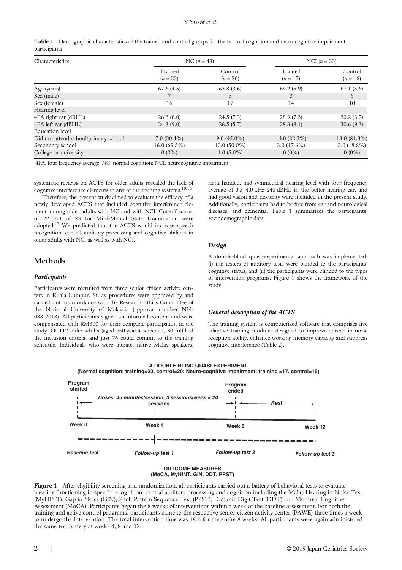## Y Yusof et al.

|              | Table 1 Demographic characteristics of the trained and control groups for the normal cognition and neurocognitive impairment |
|--------------|------------------------------------------------------------------------------------------------------------------------------|
| participants |                                                                                                                              |

| Characteristics                      |                       | NC $(n = 43)$         | NCI $(n = 33)$        |                       |  |
|--------------------------------------|-----------------------|-----------------------|-----------------------|-----------------------|--|
|                                      | Trained<br>$(n = 23)$ | Control<br>$(n = 20)$ | Trained<br>$(n = 17)$ | Control<br>$(n = 16)$ |  |
| Age (years)                          | 67.6(4.5)             | 65.8(3.6)             | 69.2 (5.9)            | 67.1(5.6)             |  |
| Sex (male)                           |                       | 3                     | 3                     | 6                     |  |
| Sex (female)                         | 16                    | 17                    | 14                    | 10                    |  |
| Hearing level                        |                       |                       |                       |                       |  |
| 4FA right ear (dBHL)                 | 26.3(8.0)             | 24.5(7.3)             | 28.9(7.3)             | 30.2(8.7)             |  |
| 4FA left ear (dBHL)                  | 24.3(9.0)             | 26.5(5.7)             | 28.3(8.1)             | 30.6(9.3)             |  |
| Education level                      |                       |                       |                       |                       |  |
| Did not attend school/primary school | $7.0(30.4\%)$         | $9.0(45.0\%)$         | 14.0 (82.3%)          | 13.0 (81.3%)          |  |
| Secondary school                     | $16.0(69.5\%)$        | $10.0(50.0\%)$        | $3.0(17.6\%)$         | $3.0(18.8\%)$         |  |
| College or university                | $0(0\%)$              | $1.0(5.0\%)$          | $0(0\%)$              | $0(0\%)$              |  |

4FA, four frequency average; NC, normal cognition; NCI, neurocognitive impairment.

systematic reviews on ACTS for older adults revealed the lack of cognitive interference elements in any of the training systems.<sup>10,16</sup>

Therefore, the present study aimed to evaluate the efficacy of a newly developed ACTS that included cognitive interference element among older adults with NC and with NCI. Cut-off scores of 22 out of 23 for Mini-Mental State Examination were adopted.17 We predicted that the ACTS would increase speech recognition, central–auditory processing and cognitive abilities in older adults with NC, as well as with NCI.

## Methods

## Participants

Participants were recruited from three senior citizen activity centers in Kuala Lumpur. Study procedures were approved by and carried out in accordance with the Research Ethics Committee of the National University of Malaysia (approval number NN-038-2013). All participants signed an informed consent and were compensated with RM300 for their complete participation in the study. Of 112 older adults (aged ≥60 years) screened, 80 fulfilled the inclusion criteria, and just 76 could commit to the training schedule. Individuals who were literate, native Malay speakers, right handed, had symmetrical hearing level with four frequency average of 0.5–4.0 kHz ≤40 dBHL in the better hearing ear, and had good vision and dexterity were included in the present study. Additionally, participants had to be free from ear and neurological diseases, and dementia. Table 1 summarizes the participants' sociodemographic data.

## Design

A double-blind quasi-experimental approach was implemented: (i) the testers of auditory tests were blinded to the participants' cognitive status; and (ii) the participants were blinded to the types of intervention programs. Figure 1 shows the framework of the study.

## General description of the ACTS

The training system is computerized software that comprises five adaptive training modules designed to improve speech-in-noise reception ability, enhance working memory capacity and suppress cognitive interference (Table 2).



**A DOUBLE BLIND QUASI-EXPERIMENT**

**OUTCOME MEASURES (MoCA, MyHINT, GIN, DDT, PPST)**

Figure 1 After eligibility screening and randomization, all participants carried out a battery of behavioral tests to evaluate baseline functioning in speech recognition, central auditory processing and cognition including the Malay Hearing in Noise Test (MyHINT), Gap in Noise (GIN), Pitch Pattern Sequence Test (PPST), Dichotic Digit Test (DDT) and Montreal Cognitive Assessment (MoCA). Participants began the 8 weeks of interventions within a week of the baseline assessment. For both the training and active control programs, participants came to the respective senior citizen activity center (PAWE) three times a week to undergo the intervention. The total intervention time was 18 h for the entire 8 weeks. All participants were again administered the same test battery at weeks 4, 8 and 12.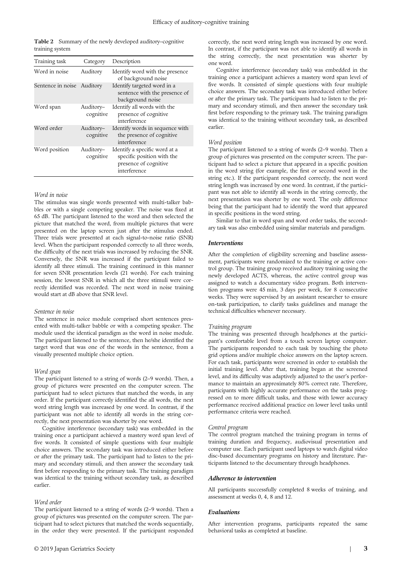Table 2 Summary of the newly developed auditory-cognitive training system

| Training task              | Category               | Description                                                                                          |
|----------------------------|------------------------|------------------------------------------------------------------------------------------------------|
| Word in noise              | Auditory               | Identify word with the presence<br>of background noise                                               |
| Sentence in noise Auditory |                        | Identify targeted word in a<br>sentence with the presence of<br>background noise                     |
| Word span                  | Auditory-<br>cognitive | Identify all words with the<br>presence of cognitive<br>interference                                 |
| Word order                 | Auditory-<br>cognitive | Identify words in sequence with<br>the presence of cognitive<br><i>interference</i>                  |
| Word position              | Auditory-<br>cognitive | Identify a specific word at a<br>specific position with the<br>presence of cognitive<br>interference |

#### Word in noise

The stimulus was single words presented with multi-talker babbles or with a single competing speaker. The noise was fixed at 65 dB. The participant listened to the word and then selected the picture that matched the word, from multiple pictures that were presented on the laptop screen just after the stimulus ended. Three trials were presented at each signal-to-noise ratio (SNR) level. When the participant responded correctly to all three words, the difficulty of the next trials was increased by reducing the SNR. Conversely, the SNR was increased if the participant failed to identify all three stimuli. The training continued in this manner for seven SNR presentation levels (21 words). For each training session, the lowest SNR in which all the three stimuli were correctly identified was recorded. The next word in noise training would start at dB above that SNR level.

#### Sentence in noise

The sentence in noice module comprised short sentences presented with multi-talker babble or with a competing speaker. The module used the identical paradigm as the word in noise module. The participant listened to the sentence, then he/she identified the target word that was one of the words in the sentence, from a visually presented multiple choice option.

#### Word span

The participant listened to a string of words (2–9 words). Then, a group of pictures were presented on the computer screen. The participant had to select pictures that matched the words, in any order. If the participant correctly identified the all words, the next word string length was increased by one word. In contrast, if the participant was not able to identify all words in the string correctly, the next presentation was shorter by one word.

Cognitive interference (secondary task) was embedded in the training once a participant achieved a mastery word span level of five words. It consisted of simple questions with four multiple choice answers. The secondary task was introduced either before or after the primary task. The participant had to listen to the primary and secondary stimuli, and then answer the secondary task first before responding to the primary task. The training paradigm was identical to the training without secondary task, as described earlier.

#### Word order

The participant listened to a string of words (2–9 words). Then a group of pictures was presented on the computer screen. The participant had to select pictures that matched the words sequentially, in the order they were presented. If the participant responded correctly, the next word string length was increased by one word. In contrast, if the participant was not able to identify all words in the string correctly, the next presentation was shorter by one word.

Cognitive interference (secondary task) was embedded in the training once a participant achieves a mastery word span level of five words. It consisted of simple questions with four multiple choice answers. The secondary task was introduced either before or after the primary task. The participants had to listen to the primary and secondary stimuli, and then answer the secondary task first before responding to the primary task. The training paradigm was identical to the training without secondary task, as described earlier.

#### Word position

The participant listened to a string of words (2–9 words). Then a group of pictures was presented on the computer screen. The participant had to select a picture that appeared in a specific position in the word string (for example, the first or second word in the string etc.). If the participant responded correctly, the next word string length was increased by one word. In contrast, if the participant was not able to identify all words in the string correctly, the next presentation was shorter by one word. The only difference being that the participant had to identify the word that appeared in specific positions in the word string.

Similar to that in word span and word order tasks, the secondary task was also embedded using similar materials and paradigm.

#### Interventions

After the completion of eligibility screening and baseline assessment, participants were randomized to the training or active control group. The training group received auditory training using the newly developed ACTS, whereas, the active control group was assigned to watch a documentary video program. Both intervention programs were 45 min, 3 days per week, for 8 consecutive weeks. They were supervised by an assistant researcher to ensure on-task participation, to clarify tasks guidelines and manage the technical difficulties whenever necessary.

#### Training program

The training was presented through headphones at the participant's comfortable level from a touch screen laptop computer. The participants responded to each task by touching the photo grid options and/or multiple choice answers on the laptop screen. For each task, participants were screened in order to establish the initial training level. After that, training began at the screened level, and its difficulty was adaptively adjusted to the user's performance to maintain an approximately 80% correct rate. Therefore, participants with highly accurate performance on the tasks progressed on to more difficult tasks, and those with lower accuracy performance received additional practice on lower level tasks until performance criteria were reached.

#### Control program

The control program matched the training program in terms of training duration and frequency, audiovisual presentation and computer use. Each participant used laptops to watch digital video disc-based documentary programs on history and literature. Participants listened to the documentary through headphones.

#### Adherence to intervention

All participants successfully completed 8 weeks of training, and assessment at weeks 0, 4, 8 and 12.

#### Evaluations

After intervention programs, participants repeated the same behavioral tasks as completed at baseline.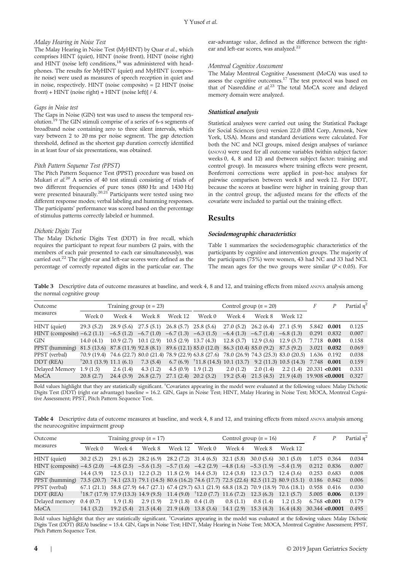## Malay Hearing in Noise Test

The Malay Hearing in Noise Test (MyHINT) by Quar et al., which comprises HINT (quiet), HINT (noise front), HINT (noise right) and HINT (noise left) conditions,<sup>18</sup> was administered with headphones. The results for MyHINT (quiet) and MyHINT (composite noise) were used as measures of speech reception in quiet and in noise, respectively. HINT (noise composite) = [2 HINT (noise front) + HINT (noise right) + HINT (noise left)] / 4.

## Gaps in Noise test

The Gaps in Noise (GIN) test was used to assess the temporal resolution.19 The GIN stimuli comprise of a series of 6-s segments of broadband noise containing zero to three silent intervals, which vary between 2 to 20 ms per noise segment. The gap detection threshold, defined as the shortest gap duration correctly identified in at least four of six presentations, was obtained.

## Pitch Pattern Sequence Test (PPST)

The Pitch Pattern Sequence Test (PPST) procedure was based on Mukari et al.<sup>20</sup> A series of 40 test stimuli consisting of triads of two different frequencies of pure tones (880 Hz and 1430 Hz) were presented binaurally.<sup>20,21</sup> Participants were tested using two different response modes; verbal labeling and humming responses. The participants' performance was scored based on the percentage of stimulus patterns correctly labeled or hummed.

### Dichotic Digits Test

The Malay Dichotic Digits Test (DDT) in free recall, which requires the participant to repeat four numbers (2 pairs, with the members of each pair presented to each ear simultaneously), was carried out.<sup>22</sup> The right-ear and left-ear scores were defined as the percentage of correctly repeated digits in the particular ear. The

ear-advantage value, defined as the difference between the rightear and left-ear scores, was analyzed.<sup>22</sup>

## Montreal Cognitive Assessment

The Malay Montreal Cognitive Assessment (MoCA) was used to assess the cognitive outcomes.<sup>17</sup> The test protocol was based on that of Nasreddine et al.<sup>23</sup> The total MoCA score and delayed memory domain were analyzed.

## Statistical analysis

Statistical analyses were carried out using the Statistical Package for Social Sciences (SPSS) version 22.0 (IBM Corp, Armonk, New York, USA). Means and standard deviations were calculated. For both the NC and NCI groups, mixed design analyses of variance (ANOVA) were used for all outcome variables (within subject factor: weeks 0, 4, 8 and 12) and (between subject factor: training and control group). In measures where training effects were present, Bonferroni corrections were applied in post-hoc analyses for pairwise comparison between week 8 and week 12. For DDT, because the scores at baseline were higher in training group than in the control group, the adjusted means for the effects of the covariate were included to partial out the training effect.

## Results

### Sociodemographic characteristics

Table 1 summarizes the sociodemographic characteristics of the participants by cognitive and intervention groups. The majority of the participants (75%) were women, 43 had NC and 33 had NCI. The mean ages for the two groups were similar  $(P < 0.05)$ . For

Table 3 Descriptive data of outcome measures at baseline, and week 4, 8 and 12, and training effects from mixed ANOVA analysis among the normal cognitive group

| Outcome                         | Training group $(n = 23)$             |           |                                                 |                        | Control group $(n = 20)$                                                                                    |                        |             |                             |             | Partial $n^2$ |
|---------------------------------|---------------------------------------|-----------|-------------------------------------------------|------------------------|-------------------------------------------------------------------------------------------------------------|------------------------|-------------|-----------------------------|-------------|---------------|
| measures                        | Week 0                                | Week 4    | Week 8                                          | Week 12                | Week 0                                                                                                      | Week 4                 | Week 8      | Week 12                     |             |               |
| HINT (quiet)                    | 29.3(5.2)                             |           | $28.9(5.6)$ $27.5(5.1)$                         | $26.8(5.7)$ 25.8 (5.6) |                                                                                                             | 27.0(5.2)              | 26.2(6.4)   | 27.1 (5.9)                  | 5.842 0.001 | 0.125         |
| $HINT$ (composite) $-6.2$ (1.1) |                                       |           | $-6.5(1.2)$ $-6.7(1.0)$ $-6.7(1.3)$ $-6.3(1.5)$ |                        |                                                                                                             | $-6.4(1.3)$            | $-6.7(1.4)$ | $-6.8(1.3)$                 | 0.291 0.832 | 0.007         |
| <b>GIN</b>                      | 14.0(4.1)                             | 10.9(2.7) | 10.1(2.9)                                       | $10.5(2.9)$ 13.7 (4.3) |                                                                                                             | $12.8(3.7)$ 12.9 (3.6) |             | 12.9(3.7)                   | 7.718 0.001 | 0.158         |
| PPST (humming)                  |                                       |           |                                                 |                        | 81.5 (13.6) 87.8 (11.9) 92.8 (8.1) 89.6 (12.1) 85.0 (12.0) 86.3 (10.4) 85.0 (9.2) 87.5 (9.2)                |                        |             |                             | 3.021 0.032 | 0.069         |
| PPST (verbal)                   |                                       |           |                                                 |                        | 70.9 (19.4) 74.6 (22.7) 80.0 (21.4) 78.9 (22.9) 63.8 (27.6) 78.0 (26.9) 74.3 (25.3) 83.0 (20.5) 1.636 0.192 |                        |             |                             |             | 0.038         |
| DDT (REA)                       | $\frac{1}{2}$ (20.1 (13.9) 11.1 (6.1) |           | 7.3(5.4)                                        |                        | 6.7 (6.9) $\frac{1}{11.8}$ (14.5) 10.1 (13.7) 9.2 (11.3) 10.5 (14.3) 7.748 0.001                            |                        |             |                             |             | 0.159         |
| Delayed Memory                  | 1.9(1.5)                              | 2.6(1.4)  | 4.3(1.2)                                        | 4.5(0.9)               | 1.9(1.2)                                                                                                    | 2.0(1.2)               | 2.0(1.4)    | $2.2(1.4)$ $20.331 < 0.001$ |             | 0.331         |
| MoCA                            | 20.8(2.7)                             | 24.4(3.9) | 26.8(2.7)                                       | 27.1(2.4)              | 20.2 (3.2)                                                                                                  | 19.2(5.4)              | 21.5(4.5)   | $21.9(4.0)$ 19.908 < 0.0001 |             | 0.327         |

Bold values highlight that they are statistically significant. † Covariates appearing in the model were evaluated at the following values: Malay Dichotic Digits Test (DDT) (right ear advantage) baseline = 16.2. GIN, Gaps in Noise Test; HINT, Malay Hearing in Noise Test; MOCA, Montreal Cognitive Assessment; PPST, Pitch Pattern Sequence Test.

Table 4 Descriptive data of outcome measures at baseline, and week 4, 8 and 12, and training effects from mixed ANOVA analysis among the neurocognitive impairment group

| Outcome                       | Training group ( $n = 17$ )                    |            |                                                                                                 |            | Control group $(n = 16)$         |           |           |           |                     | Partial $n^2$ |
|-------------------------------|------------------------------------------------|------------|-------------------------------------------------------------------------------------------------|------------|----------------------------------|-----------|-----------|-----------|---------------------|---------------|
| measures                      | Week 0                                         | Week 4     | Week 8                                                                                          | Week 12    | Week 0                           | Week 4    | Week 8    | Week 12   |                     |               |
| HINT (quiet)                  | 30.2(5.2)                                      | 29.1 (6.2) | 28.2 (6.9)                                                                                      | 28.2 (7.2) | $31.4(6.5)$ 32.1 (5.8)           |           | 30.0(5.6) | 30.1(5.0) | 1.075 0.364         | 0.034         |
| HINT (composite) $-4.5$ (2.0) |                                                |            | $-4.8$ (2.5) $-5.6$ (1.5) $-5.7$ (1.6) $-4.2$ (2.9) $-4.8$ (1.6) $-5.3$ (1.9) $-5.4$ (1.9)      |            |                                  |           |           |           | 0.212 0.836         | 0.007         |
| <b>GIN</b>                    | 14.4 (3.9)                                     | 12.5(3.1)  | $12.2(3.2)$ $11.8(2.9)$ $14.4(5.3)$                                                             |            |                                  | 12.4(3.8) | 12.3(3.7) | 12.4(3.6) | 0.253 0.683         | 0.008         |
| PPST (humming)                | 73.5 (20.7)                                    |            | 74.1 (23.1) 79.1 (14.5) 80.6 (16.2) 74.6 (17.7) 72.5 (22.6) 82.5 (11.2) 80.9 (15.1) 0.186 0.842 |            |                                  |           |           |           |                     | 0.006         |
| PPST (verbal)                 | 67.1 (21.1)                                    |            | 58.8 (27.9) 64.7 (27.1) 67.4 (29.7) 63.1 (21.9) 68.8 (18.2) 70.9 (18.9) 70.6 (18.1) 0.958 0.416 |            |                                  |           |           |           |                     | 0.030         |
| DDT (REA)                     | $\frac{1}{18.7}$ (17.9) 17.9 (13.3) 14.9 (9.5) |            |                                                                                                 | 11.4(9.0)  | $\uparrow$ 12.0 (7.7) 11.6 (7.2) |           | 12.3(6.3) | 12.1(5.7) | 5.005 0.006         | 0.139         |
| Delayed memory                | 0.4(0.7)                                       | 1.9(1.8)   | 2.9(1.9)                                                                                        | 2.9(1.8)   | 0.4(1.0)                         | 0.8(1.1)  | 0.8(1.4)  | 1.2(1.5)  | 6.768 < 0.001       | 0.179         |
| MoCA                          | 14.1(3.2)                                      | 19.2(5.4)  | 21.5(4.4)                                                                                       | 21.9(4.0)  | 13.8(3.6)                        | 14.1(2.9) | 15.3(4.3) | 16.4(4.8) | $30.344 \le 0.0001$ | 0.495         |

Bold values highlight that they are statistically significant. † Covariates appearing in the model was evaluated at the following values: Malay Dichotic Digits Test (DDT) (REA) baseline = 15.4. GIN, Gaps in Noise Test; HINT, Malay Hearing in Noise Test; MOCA, Montreal Cognitive Assessment; PPST, Pitch Pattern Sequence Test.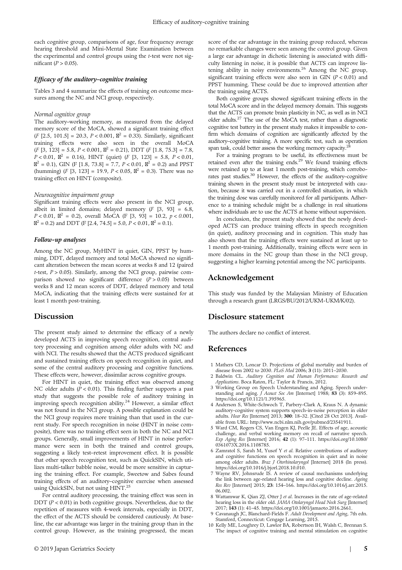each cognitive group, comparisons of age, four frequency average hearing threshold and Mini-Mental State Examination between the experimental and control groups using the t-test were not significant ( $P > 0.05$ ).

## Efficacy of the auditory–cognitive training

Tables 3 and 4 summarize the effects of training on outcome measures among the NC and NCI group, respectively.

## Normal cognitive group

The auditory–working memory, as measured from the delayed memory score of the MoCA, showed a significant training effect (F [2.5, 101.5] = 20.3,  $P < 0.001$ ,  $\mathbb{Z}^2 = 0.33$ ). Similarly, significant training effects were also seen in the overall MoCA  $(F [3, 123] = 5.8, P < 0.001, \mathbb{Z}^2 = 0.21), \text{ DDT } (F [1.8, 75.3] = 7.8,$  $P < 0.01$ ,  $\mathbb{Z}^2 = 0.16$ ), HINT (quiet) (*F* [3, 123] = 5.8,  $P < 0.01$ ,  $\mathbb{Z}^2 = 0.1$ , GIN (F [1.8, 73.8] = 7.7, P < 0.01,  $\mathbb{Z}^2 = 0.2$ ) and PPST (humming) (*F* [3, 123] = 19.9,  $P < 0.05$ ,  $\mathbb{Z}^2 = 0.3$ ). There was no training effect on HINT (composite).

#### Neurocognitive impairment group

Significant training effects were also present in the NCI group, albeit in limited domains; delayed memory  $(F [3, 93] = 6.8,$  $P < 0.01$ ,  $\mathbb{Z}^2 = 0.2$ ), overall MoCA (F [3, 93] = 10.2,  $p < 0.001$ ,  $\mathbb{Z}^2 = 0.2$ ) and DDT (F [2.4, 74.5] = 5.0, P < 0.01,  $\mathbb{Z}^2 = 0.1$ ).

## Follow-up analyses

Among the NC group, MyHINT in quiet, GIN, PPST by humming, DDT, delayed memory and total MoCA showed no significant alteration between the mean scores at weeks 8 and 12 (paired t-test,  $P > 0.05$ ). Similarly, among the NCI group, pairwise comparison showed no significant difference  $(P > 0.05)$  between weeks 8 and 12 mean scores of DDT, delayed memory and total MoCA, indicating that the training effects were sustained for at least 1 month post-training.

## Discussion

The present study aimed to determine the efficacy of a newly developed ACTS in improving speech recognition, central auditory processing and cognition among older adults with NC and with NCI. The results showed that the ACTS produced significant and sustained training effects on speech recognition in quiet, and some of the central auditory processing and cognitive functions. These effects were, however, dissimilar across cognitive groups.

For HINT in quiet, the training effect was observed among NC older adults  $(P < 0.01)$ . This finding further supports a past study that suggests the possible role of auditory training in improving speech recognition ability.24 However, a similar effect was not found in the NCI group. A possible explanation could be the NCI group requires more training than that used in the current study. For speech recognition in noise (HINT in noise composite), there was no training effect seen in both the NC and NCI groups. Generally, small improvements of HINT in noise performance were seen in both the trained and control groups, suggesting a likely test–retest improvement effect. It is possible that other speech recognition test, such as QuickSIN, which utilizes multi-talker babble noise, would be more sensitive in capturing the training effect. For example, Sweetow and Sabes found training effects of an auditory–cognitive exercise when assessed using QuickSIN, but not using HINT.<sup>25</sup>

For central auditory processing, the training effect was seen in DDT ( $P < 0.01$ ) in both cognitive groups. Nevertheless, due to the repetition of measures with 4-week intervals, especially in DDT, the effect of the ACTS should be considered cautiously. At baseline, the ear advantage was larger in the training group than in the control group. However, as the training progressed, the mean

score of the ear advantage in the training group reduced, whereas no remarkable changes were seen among the control group. Given a large ear advantage in dichotic listening is associated with difficulty listening in noise, it is possible that ACTS can improve listening ability in noisy environments.<sup>26</sup> Among the NC group, significant training effects were also seen in GIN  $(P < 0.01)$  and PPST humming. These could be due to improved attention after the training using ACTS.

Both cognitive groups showed significant training effects in the total MoCA score and in the delayed memory domain. This suggests that the ACTS can promote brain plasticity in NC, as well as in NCI older adults.27 The use of the MoCA test, rather than a diagnostic cognitive test battery in the present study makes it impossible to confirm which domains of cognition are significantly affected by the auditory–cognitive training. A more specific test, such as operation span task, could better assess the working memory capacity.

For a training program to be useful, its effectiveness must be retained even after the training ends.<sup>29</sup> We found training effects were retained up to at least 1 month post-training, which corroborates past studies.<sup>30</sup> However, the effects of the auditory-cognitive training shown in the present study must be interpreted with caution, because it was carried out in a controlled situation, in which the training dose was carefully monitored for all participants. Adherence to a training schedule might be a challenge in real situations where individuals are to use the ACTS at home without supervision.

In conclusion, the present study showed that the newly developed ACTS can produce training effects in speech recognition (in quiet), auditory processing and in cognition. This study has also shown that the training effects were sustained at least up to 1 month post-training. Additionally, training effects were seen in more domains in the NC group than those in the NCI group, suggesting a higher learning potential among the NC participants.

## Acknowledgement

This study was funded by the Malaysian Ministry of Education through a research grant (LRGS/BU/2012/UKM-UKM/K/02).

## Disclosure statement

The authors declare no conflict of interest.

## References

- 1 Mathers CD, Loncar D. Projections of global mortality and burden of disease from 2002 to 2030. PLoS Med 2006; 3 (11): 2011–2030.
- 2 Baldwin CL. Auditory Cognition and Human Performance: Research and Applications. Boca Raton, FL: Taylor & Francis, 2012.
- 3 Working Group on Speech Understanding and Aging. Speech under-standing and aging. J Acoust Soc Am [Internet] 1988; 83 (3): 859–895. [https://doi.org/10.1121/1.395965.](https://doi.org/10.1121/1.395965)
- 4 Anderson S, White-Schwoch T, Parbery-Clark A, Kraus N. A dynamic auditory-cognitive system supports speech-in-noise perception in older adults. Hear Res [Internet] 2013; 300: 18–32. [Cited 28 Oct 2013]. Available from URL:<http://www.ncbi.nlm.nih.gov/pubmed/23541911>.
- 5 Ward CM, Rogers CS, Van Engen KJ, Peelle JE. Effects of age, acoustic challenge, and verbal working memory on recall of narrative speech. Exp Aging Res [Internet] 2016; 42 (1): 97–111. [https://doi.org/10.1080/](https://doi.org/10.1080/0361073X.2016.1108785) [0361073X.2016.1108785.](https://doi.org/10.1080/0361073X.2016.1108785)
- 6 Zamratol S, Sarah M, Yusof Y et al. Relative contributions of auditory and cognitive functions on speech recognition in quiet and in noise among older adults. Braz J Otorhinolaryngol [Internet] 2018 (In press). <https://doi.org/10.1016/j.bjorl.2018.10.010>.
- 7 Wayne RV, Johnsrude IS. A review of causal mechanisms underlying the link between age-related hearing loss and cognitive decline. Ageing Res Rev [Internet] 2015; 23: 154–166. [https://doi.org/10.1016/j.arr.2015.](https://doi.org/10.1016/j.arr.2015.06.002) [06.002.](https://doi.org/10.1016/j.arr.2015.06.002)
- 8 Wattamwar K, Qian ZJ, Otter J et al. Increases in the rate of age-related hearing loss in the older old. JAMA Otolaryngol Head Neck Surg [Internet] 2017; 143 (1): 41–45. [https://doi.org/10.1001/jamaoto.2016.2661.](https://doi.org/10.1001/jamaoto.2016.2661)
- 9 Cavanaugh JC, Blanchard-Fields F. Adult Development and Aging, 7th edn. Stamford, Connecticut: Cengage Learning, 2015.
- 10 Kelly ME, Loughrey D, Lawlor BA, Robertson IH, Walsh C, Brennan S. The impact of cognitive training and mental stimulation on cognitive